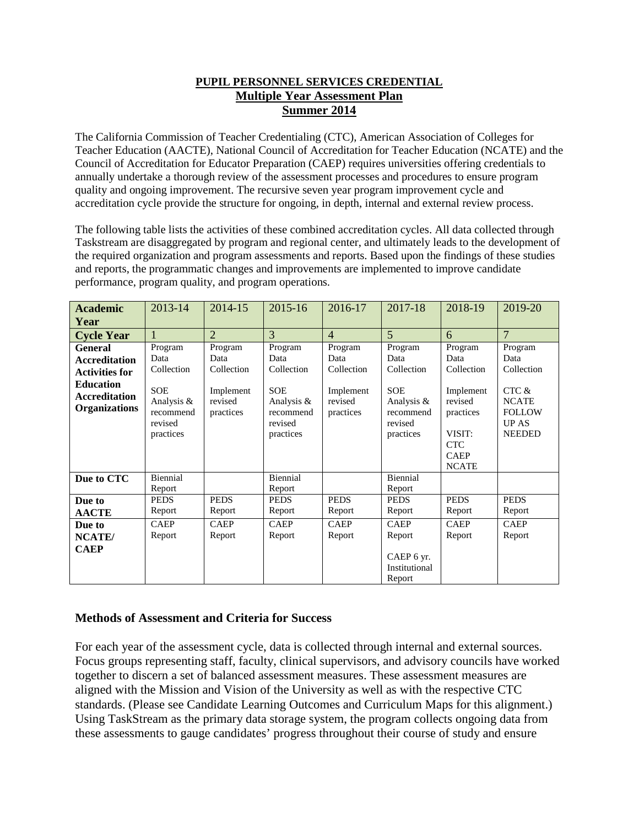#### **PUPIL PERSONNEL SERVICES CREDENTIAL Multiple Year Assessment Plan Summer 2014**

The California Commission of Teacher Credentialing (CTC), American Association of Colleges for Teacher Education (AACTE), National Council of Accreditation for Teacher Education (NCATE) and the Council of Accreditation for Educator Preparation (CAEP) requires universities offering credentials to annually undertake a thorough review of the assessment processes and procedures to ensure program quality and ongoing improvement. The recursive seven year program improvement cycle and accreditation cycle provide the structure for ongoing, in depth, internal and external review process.

The following table lists the activities of these combined accreditation cycles. All data collected through Taskstream are disaggregated by program and regional center, and ultimately leads to the development of the required organization and program assessments and reports. Based upon the findings of these studies and reports, the programmatic changes and improvements are implemented to improve candidate performance, program quality, and program operations.

| <b>Academic</b><br>Year                                                                                                             | 2013-14                                                                                        | 2014-15                                                            | 2015-16                                                                                        | 2016-17                                                            | 2017-18                                                                                        | 2018-19                                                                                                                   | 2019-20                                                                                                  |
|-------------------------------------------------------------------------------------------------------------------------------------|------------------------------------------------------------------------------------------------|--------------------------------------------------------------------|------------------------------------------------------------------------------------------------|--------------------------------------------------------------------|------------------------------------------------------------------------------------------------|---------------------------------------------------------------------------------------------------------------------------|----------------------------------------------------------------------------------------------------------|
| <b>Cycle Year</b>                                                                                                                   |                                                                                                | $\overline{2}$                                                     | 3                                                                                              | $\overline{4}$                                                     | $\overline{5}$                                                                                 | 6                                                                                                                         | $\overline{7}$                                                                                           |
| <b>General</b><br><b>Accreditation</b><br><b>Activities for</b><br><b>Education</b><br><b>Accreditation</b><br><b>Organizations</b> | Program<br>Data<br>Collection<br><b>SOE</b><br>Analysis &<br>recommend<br>revised<br>practices | Program<br>Data<br>Collection<br>Implement<br>revised<br>practices | Program<br>Data<br>Collection<br><b>SOE</b><br>Analysis &<br>recommend<br>revised<br>practices | Program<br>Data<br>Collection<br>Implement<br>revised<br>practices | Program<br>Data<br>Collection<br><b>SOE</b><br>Analysis &<br>recommend<br>revised<br>practices | Program<br>Data<br>Collection<br>Implement<br>revised<br>practices<br>VISIT:<br><b>CTC</b><br><b>CAEP</b><br><b>NCATE</b> | Program<br>Data<br>Collection<br>CTC &<br><b>NCATE</b><br><b>FOLLOW</b><br><b>UP AS</b><br><b>NEEDED</b> |
| Due to CTC                                                                                                                          | Biennial<br>Report                                                                             |                                                                    | Biennial<br>Report                                                                             |                                                                    | Biennial<br>Report                                                                             |                                                                                                                           |                                                                                                          |
| Due to<br><b>AACTE</b>                                                                                                              | <b>PEDS</b><br>Report                                                                          | <b>PEDS</b><br>Report                                              | <b>PEDS</b><br>Report                                                                          | <b>PEDS</b><br>Report                                              | <b>PEDS</b><br>Report                                                                          | <b>PEDS</b><br>Report                                                                                                     | <b>PEDS</b><br>Report                                                                                    |
| Due to<br>NCATE/<br><b>CAEP</b>                                                                                                     | <b>CAEP</b><br>Report                                                                          | <b>CAEP</b><br>Report                                              | <b>CAEP</b><br>Report                                                                          | <b>CAEP</b><br>Report                                              | <b>CAEP</b><br>Report<br>CAEP 6 yr.<br>Institutional<br>Report                                 | <b>CAEP</b><br>Report                                                                                                     | <b>CAEP</b><br>Report                                                                                    |

#### **Methods of Assessment and Criteria for Success**

For each year of the assessment cycle, data is collected through internal and external sources. Focus groups representing staff, faculty, clinical supervisors, and advisory councils have worked together to discern a set of balanced assessment measures. These assessment measures are aligned with the Mission and Vision of the University as well as with the respective CTC standards. (Please see Candidate Learning Outcomes and Curriculum Maps for this alignment.) Using TaskStream as the primary data storage system, the program collects ongoing data from these assessments to gauge candidates' progress throughout their course of study and ensure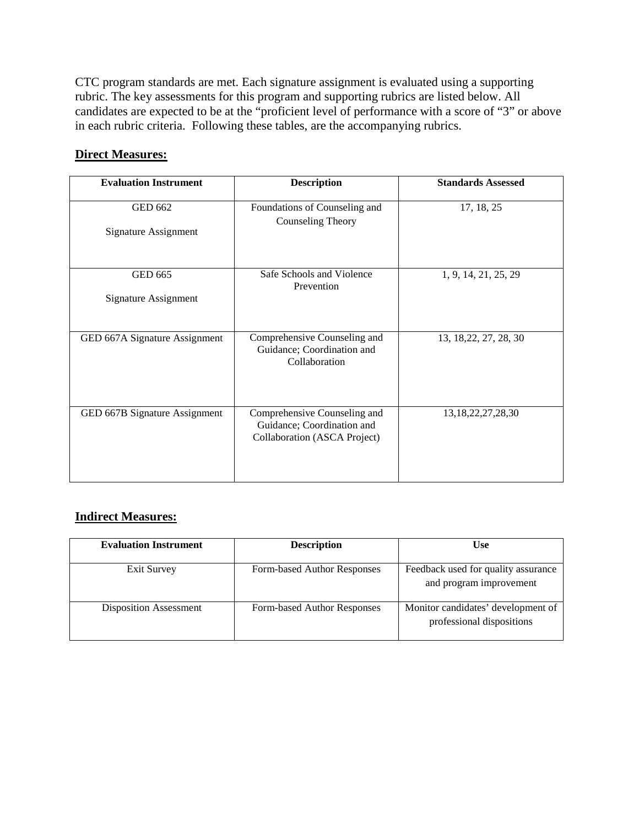CTC program standards are met. Each signature assignment is evaluated using a supporting rubric. The key assessments for this program and supporting rubrics are listed below. All candidates are expected to be at the "proficient level of performance with a score of "3" or above in each rubric criteria. Following these tables, are the accompanying rubrics.

## **Direct Measures:**

| <b>Evaluation Instrument</b>           | <b>Description</b>                                                                         | <b>Standards Assessed</b> |
|----------------------------------------|--------------------------------------------------------------------------------------------|---------------------------|
| <b>GED 662</b><br>Signature Assignment | Foundations of Counseling and<br>Counseling Theory                                         | 17, 18, 25                |
| <b>GED 665</b><br>Signature Assignment | Safe Schools and Violence<br>Prevention                                                    | 1, 9, 14, 21, 25, 29      |
| GED 667A Signature Assignment          | Comprehensive Counseling and<br>Guidance; Coordination and<br>Collaboration                | 13, 18, 22, 27, 28, 30    |
| GED 667B Signature Assignment          | Comprehensive Counseling and<br>Guidance; Coordination and<br>Collaboration (ASCA Project) | 13, 18, 22, 27, 28, 30    |

## **Indirect Measures:**

| <b>Evaluation Instrument</b>  | <b>Description</b>          | <b>Use</b>                                                      |
|-------------------------------|-----------------------------|-----------------------------------------------------------------|
| <b>Exit Survey</b>            | Form-based Author Responses | Feedback used for quality assurance<br>and program improvement  |
| <b>Disposition Assessment</b> | Form-based Author Responses | Monitor candidates' development of<br>professional dispositions |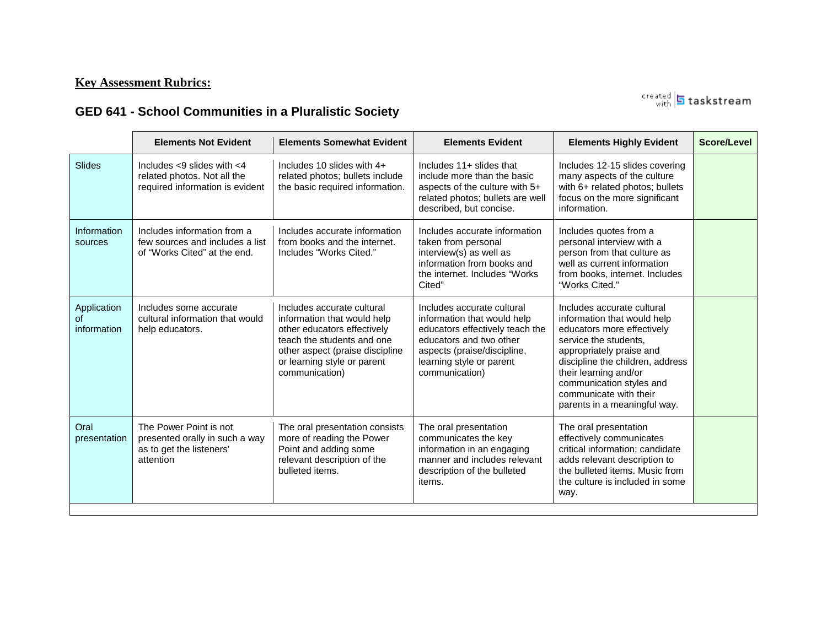## **Key Assessment Rubrics:**

created **5** taskstream

## **GED 641 - School Communities in a Pluralistic Society**

|                                  | <b>Elements Not Evident</b>                                                                        | <b>Elements Somewhat Evident</b>                                                                                                                                                                           | <b>Elements Evident</b>                                                                                                                                                                              | <b>Elements Highly Evident</b>                                                                                                                                                                                                                                                                  | Score/Level |
|----------------------------------|----------------------------------------------------------------------------------------------------|------------------------------------------------------------------------------------------------------------------------------------------------------------------------------------------------------------|------------------------------------------------------------------------------------------------------------------------------------------------------------------------------------------------------|-------------------------------------------------------------------------------------------------------------------------------------------------------------------------------------------------------------------------------------------------------------------------------------------------|-------------|
| Slides                           | Includes $<$ 9 slides with $<$ 4<br>related photos. Not all the<br>required information is evident | Includes 10 slides with 4+<br>related photos; bullets include<br>the basic required information.                                                                                                           | Includes $11 +$ slides that<br>include more than the basic<br>aspects of the culture with 5+<br>related photos; bullets are well<br>described, but concise.                                          | Includes 12-15 slides covering<br>many aspects of the culture<br>with 6+ related photos; bullets<br>focus on the more significant<br>information.                                                                                                                                               |             |
| Information<br>sources           | Includes information from a<br>few sources and includes a list<br>of "Works Cited" at the end.     | Includes accurate information<br>from books and the internet.<br>Includes "Works Cited."                                                                                                                   | Includes accurate information<br>taken from personal<br>interview(s) as well as<br>information from books and<br>the internet. Includes "Works"<br>Cited"                                            | Includes quotes from a<br>personal interview with a<br>person from that culture as<br>well as current information<br>from books, internet. Includes<br>"Works Cited."                                                                                                                           |             |
| Application<br>Ωf<br>information | Includes some accurate<br>cultural information that would<br>help educators.                       | Includes accurate cultural<br>information that would help<br>other educators effectively<br>teach the students and one<br>other aspect (praise discipline<br>or learning style or parent<br>communication) | Includes accurate cultural<br>information that would help<br>educators effectively teach the<br>educators and two other<br>aspects (praise/discipline,<br>learning style or parent<br>communication) | Includes accurate cultural<br>information that would help<br>educators more effectively<br>service the students,<br>appropriately praise and<br>discipline the children, address<br>their learning and/or<br>communication styles and<br>communicate with their<br>parents in a meaningful way. |             |
| Oral<br>presentation             | The Power Point is not<br>presented orally in such a way<br>as to get the listeners'<br>attention  | The oral presentation consists<br>more of reading the Power<br>Point and adding some<br>relevant description of the<br>bulleted items.                                                                     | The oral presentation<br>communicates the key<br>information in an engaging<br>manner and includes relevant<br>description of the bulleted<br>items.                                                 | The oral presentation<br>effectively communicates<br>critical information; candidate<br>adds relevant description to<br>the bulleted items. Music from<br>the culture is included in some<br>way.                                                                                               |             |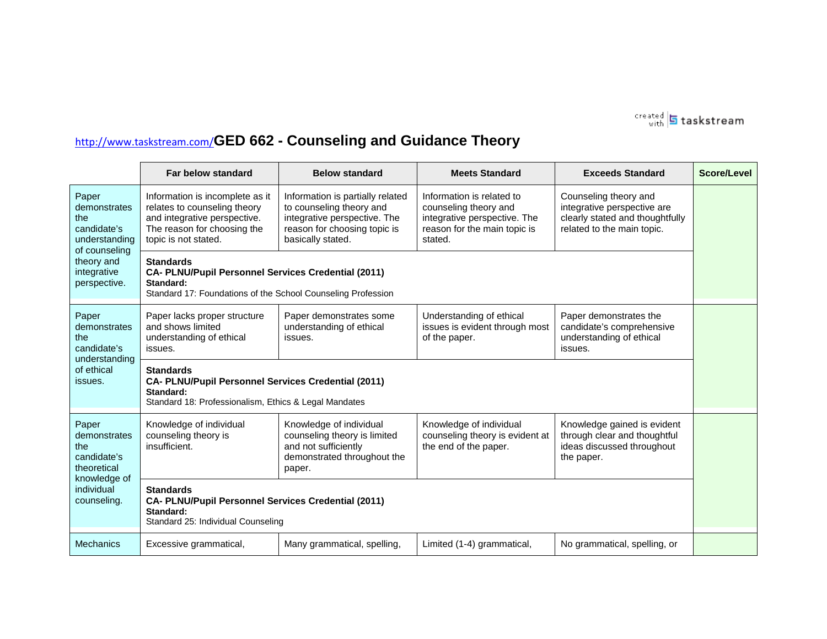

# <http://www.taskstream.com/>**GED 662 - Counseling and Guidance Theory**

|                                                                                                                            | <b>Far below standard</b>                                                                                                                              | <b>Below standard</b>                                                                                                                             | <b>Meets Standard</b>                                                                                                         | <b>Exceeds Standard</b>                                                                                               | Score/Level |  |
|----------------------------------------------------------------------------------------------------------------------------|--------------------------------------------------------------------------------------------------------------------------------------------------------|---------------------------------------------------------------------------------------------------------------------------------------------------|-------------------------------------------------------------------------------------------------------------------------------|-----------------------------------------------------------------------------------------------------------------------|-------------|--|
| Paper<br>demonstrates<br>the<br>candidate's<br>understanding<br>of counseling<br>theory and<br>integrative<br>perspective. | Information is incomplete as it<br>relates to counseling theory<br>and integrative perspective.<br>The reason for choosing the<br>topic is not stated. | Information is partially related<br>to counseling theory and<br>integrative perspective. The<br>reason for choosing topic is<br>basically stated. | Information is related to<br>counseling theory and<br>integrative perspective. The<br>reason for the main topic is<br>stated. | Counseling theory and<br>integrative perspective are<br>clearly stated and thoughtfully<br>related to the main topic. |             |  |
|                                                                                                                            | <b>Standards</b><br>CA- PLNU/Pupil Personnel Services Credential (2011)<br>Standard:<br>Standard 17: Foundations of the School Counseling Profession   |                                                                                                                                                   |                                                                                                                               |                                                                                                                       |             |  |
| Paper<br>demonstrates<br>the<br>candidate's<br>understanding<br>of ethical<br>issues.                                      | Paper lacks proper structure<br>and shows limited<br>understanding of ethical<br>issues.                                                               | Paper demonstrates some<br>understanding of ethical<br>issues.                                                                                    | Understanding of ethical<br>issues is evident through most<br>of the paper.                                                   | Paper demonstrates the<br>candidate's comprehensive<br>understanding of ethical<br>issues.                            |             |  |
|                                                                                                                            | <b>Standards</b><br>CA- PLNU/Pupil Personnel Services Credential (2011)<br>Standard:<br>Standard 18: Professionalism, Ethics & Legal Mandates          |                                                                                                                                                   |                                                                                                                               |                                                                                                                       |             |  |
| Paper<br>demonstrates<br>the<br>candidate's<br>theoretical<br>knowledge of<br>individual<br>counseling.                    | Knowledge of individual<br>counseling theory is<br>insufficient.                                                                                       | Knowledge of individual<br>counseling theory is limited<br>and not sufficiently<br>demonstrated throughout the<br>paper.                          | Knowledge of individual<br>counseling theory is evident at<br>the end of the paper.                                           | Knowledge gained is evident<br>through clear and thoughtful<br>ideas discussed throughout<br>the paper.               |             |  |
|                                                                                                                            | <b>Standards</b><br>CA- PLNU/Pupil Personnel Services Credential (2011)<br>Standard:<br>Standard 25: Individual Counseling                             |                                                                                                                                                   |                                                                                                                               |                                                                                                                       |             |  |
| <b>Mechanics</b>                                                                                                           | Excessive grammatical,                                                                                                                                 | Many grammatical, spelling,                                                                                                                       | Limited (1-4) grammatical,                                                                                                    | No grammatical, spelling, or                                                                                          |             |  |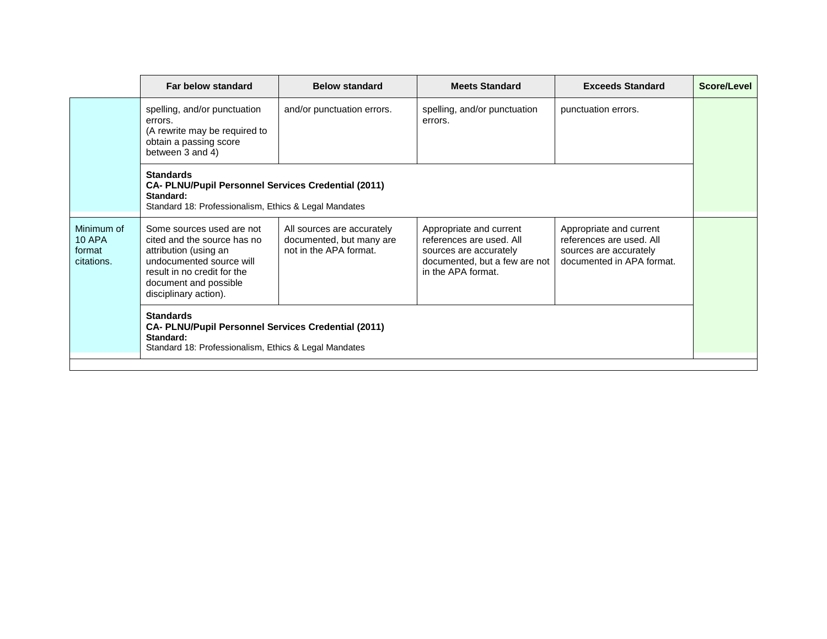|                                                     | Far below standard                                                                                                                                                                             | <b>Below standard</b>                                                            | <b>Meets Standard</b>                                                                                                                | <b>Exceeds Standard</b>                                                                                    | Score/Level |  |  |
|-----------------------------------------------------|------------------------------------------------------------------------------------------------------------------------------------------------------------------------------------------------|----------------------------------------------------------------------------------|--------------------------------------------------------------------------------------------------------------------------------------|------------------------------------------------------------------------------------------------------------|-------------|--|--|
|                                                     | spelling, and/or punctuation<br>errors.<br>(A rewrite may be required to<br>obtain a passing score<br>between 3 and 4)                                                                         | and/or punctuation errors.                                                       | spelling, and/or punctuation<br>errors.                                                                                              | punctuation errors.                                                                                        |             |  |  |
|                                                     | <b>Standards</b><br><b>CA- PLNU/Pupil Personnel Services Credential (2011)</b><br>Standard:<br>Standard 18: Professionalism, Ethics & Legal Mandates                                           |                                                                                  |                                                                                                                                      |                                                                                                            |             |  |  |
| Minimum of<br><b>10 APA</b><br>format<br>citations. | Some sources used are not<br>cited and the source has no<br>attribution (using an<br>undocumented source will<br>result in no credit for the<br>document and possible<br>disciplinary action). | All sources are accurately<br>documented, but many are<br>not in the APA format. | Appropriate and current<br>references are used. All<br>sources are accurately<br>documented, but a few are not<br>in the APA format. | Appropriate and current<br>references are used. All<br>sources are accurately<br>documented in APA format. |             |  |  |
|                                                     | <b>Standards</b><br><b>CA- PLNU/Pupil Personnel Services Credential (2011)</b><br>Standard:<br>Standard 18: Professionalism, Ethics & Legal Mandates                                           |                                                                                  |                                                                                                                                      |                                                                                                            |             |  |  |
|                                                     |                                                                                                                                                                                                |                                                                                  |                                                                                                                                      |                                                                                                            |             |  |  |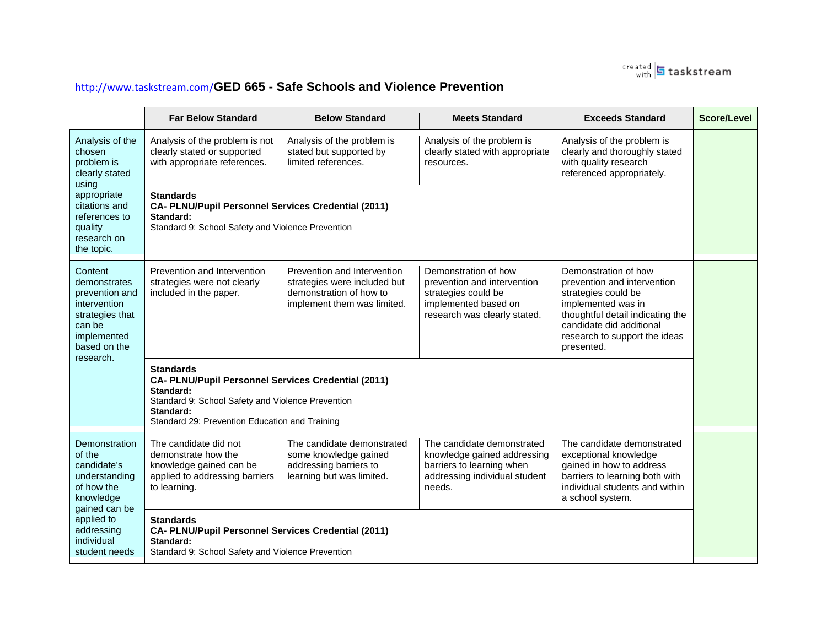

## <http://www.taskstream.com/>**GED 665 - Safe Schools and Violence Prevention**

|                                                                                                                                                                | <b>Far Below Standard</b>                                                                                                                                                                                                                                                                                                                                                                                                                                                                                                                               | <b>Below Standard</b>                                                                                                 | <b>Meets Standard</b>                                                                                                              | <b>Exceeds Standard</b>                                                                                                                                                                                         | Score/Level |  |
|----------------------------------------------------------------------------------------------------------------------------------------------------------------|---------------------------------------------------------------------------------------------------------------------------------------------------------------------------------------------------------------------------------------------------------------------------------------------------------------------------------------------------------------------------------------------------------------------------------------------------------------------------------------------------------------------------------------------------------|-----------------------------------------------------------------------------------------------------------------------|------------------------------------------------------------------------------------------------------------------------------------|-----------------------------------------------------------------------------------------------------------------------------------------------------------------------------------------------------------------|-------------|--|
| Analysis of the<br>chosen<br>problem is<br>clearly stated<br>using<br>appropriate<br>citations and<br>references to<br>quality<br>research on<br>the topic.    | Analysis of the problem is not<br>clearly stated or supported<br>with appropriate references.                                                                                                                                                                                                                                                                                                                                                                                                                                                           | Analysis of the problem is<br>stated but supported by<br>limited references.                                          | Analysis of the problem is<br>clearly stated with appropriate<br>resources.                                                        | Analysis of the problem is<br>clearly and thoroughly stated<br>with quality research<br>referenced appropriately.                                                                                               |             |  |
|                                                                                                                                                                | <b>Standards</b><br>CA- PLNU/Pupil Personnel Services Credential (2011)<br>Standard:<br>Standard 9: School Safety and Violence Prevention                                                                                                                                                                                                                                                                                                                                                                                                               |                                                                                                                       |                                                                                                                                    |                                                                                                                                                                                                                 |             |  |
| Content<br>demonstrates<br>prevention and<br>intervention<br>strategies that<br>can be<br>implemented<br>based on the<br>research.                             | Prevention and Intervention<br>strategies were not clearly<br>included in the paper.                                                                                                                                                                                                                                                                                                                                                                                                                                                                    | Prevention and Intervention<br>strategies were included but<br>demonstration of how to<br>implement them was limited. | Demonstration of how<br>prevention and intervention<br>strategies could be<br>implemented based on<br>research was clearly stated. | Demonstration of how<br>prevention and intervention<br>strategies could be<br>implemented was in<br>thoughtful detail indicating the<br>candidate did additional<br>research to support the ideas<br>presented. |             |  |
|                                                                                                                                                                | <b>Standards</b><br><b>CA- PLNU/Pupil Personnel Services Credential (2011)</b><br>Standard:<br>Standard 9: School Safety and Violence Prevention<br>Standard:<br>Standard 29: Prevention Education and Training                                                                                                                                                                                                                                                                                                                                         |                                                                                                                       |                                                                                                                                    |                                                                                                                                                                                                                 |             |  |
| Demonstration<br>of the<br>candidate's<br>understanding<br>of how the<br>knowledge<br>gained can be<br>applied to<br>addressing<br>individual<br>student needs | The candidate did not<br>The candidate demonstrated<br>The candidate demonstrated<br>The candidate demonstrated<br>demonstrate how the<br>some knowledge gained<br>knowledge gained addressing<br>exceptional knowledge<br>gained in how to address<br>knowledge gained can be<br>addressing barriers to<br>barriers to learning when<br>applied to addressing barriers<br>addressing individual student<br>barriers to learning both with<br>learning but was limited.<br>individual students and within<br>to learning.<br>needs.<br>a school system. |                                                                                                                       |                                                                                                                                    |                                                                                                                                                                                                                 |             |  |
|                                                                                                                                                                | <b>Standards</b><br>CA- PLNU/Pupil Personnel Services Credential (2011)<br>Standard:<br>Standard 9: School Safety and Violence Prevention                                                                                                                                                                                                                                                                                                                                                                                                               |                                                                                                                       |                                                                                                                                    |                                                                                                                                                                                                                 |             |  |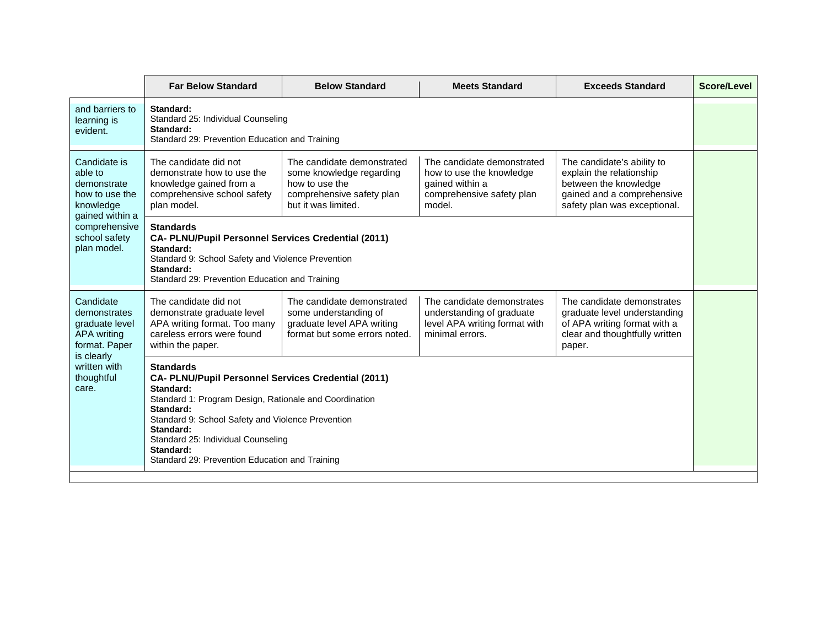|                                                                                                                                           | <b>Far Below Standard</b>                                                                                                                                                                                                                                                                                                          | <b>Below Standard</b>                                                                                                        | <b>Meets Standard</b>                                                                                            | <b>Exceeds Standard</b>                                                                                                                       | Score/Level |  |
|-------------------------------------------------------------------------------------------------------------------------------------------|------------------------------------------------------------------------------------------------------------------------------------------------------------------------------------------------------------------------------------------------------------------------------------------------------------------------------------|------------------------------------------------------------------------------------------------------------------------------|------------------------------------------------------------------------------------------------------------------|-----------------------------------------------------------------------------------------------------------------------------------------------|-------------|--|
| and barriers to<br>learning is<br>evident.                                                                                                | Standard:<br>Standard 25: Individual Counseling<br>Standard:<br>Standard 29: Prevention Education and Training                                                                                                                                                                                                                     |                                                                                                                              |                                                                                                                  |                                                                                                                                               |             |  |
| Candidate is<br>able to<br>demonstrate<br>how to use the<br>knowledge<br>gained within a<br>comprehensive<br>school safety<br>plan model. | The candidate did not<br>demonstrate how to use the<br>knowledge gained from a<br>comprehensive school safety<br>plan model.                                                                                                                                                                                                       | The candidate demonstrated<br>some knowledge regarding<br>how to use the<br>comprehensive safety plan<br>but it was limited. | The candidate demonstrated<br>how to use the knowledge<br>gained within a<br>comprehensive safety plan<br>model. | The candidate's ability to<br>explain the relationship<br>between the knowledge<br>gained and a comprehensive<br>safety plan was exceptional. |             |  |
|                                                                                                                                           | <b>Standards</b><br>CA- PLNU/Pupil Personnel Services Credential (2011)<br>Standard:<br>Standard 9: School Safety and Violence Prevention<br>Standard:<br>Standard 29: Prevention Education and Training                                                                                                                           |                                                                                                                              |                                                                                                                  |                                                                                                                                               |             |  |
| Candidate<br>demonstrates<br>graduate level<br>APA writing<br>format. Paper<br>is clearly<br>written with<br>thoughtful<br>care.          | The candidate did not<br>demonstrate graduate level<br>APA writing format. Too many<br>careless errors were found<br>within the paper.                                                                                                                                                                                             | The candidate demonstrated<br>some understanding of<br>graduate level APA writing<br>format but some errors noted.           | The candidate demonstrates<br>understanding of graduate<br>level APA writing format with<br>minimal errors.      | The candidate demonstrates<br>graduate level understanding<br>of APA writing format with a<br>clear and thoughtfully written<br>paper.        |             |  |
|                                                                                                                                           | <b>Standards</b><br>CA- PLNU/Pupil Personnel Services Credential (2011)<br>Standard:<br>Standard 1: Program Design, Rationale and Coordination<br>Standard:<br>Standard 9: School Safety and Violence Prevention<br>Standard:<br>Standard 25: Individual Counseling<br>Standard:<br>Standard 29: Prevention Education and Training |                                                                                                                              |                                                                                                                  |                                                                                                                                               |             |  |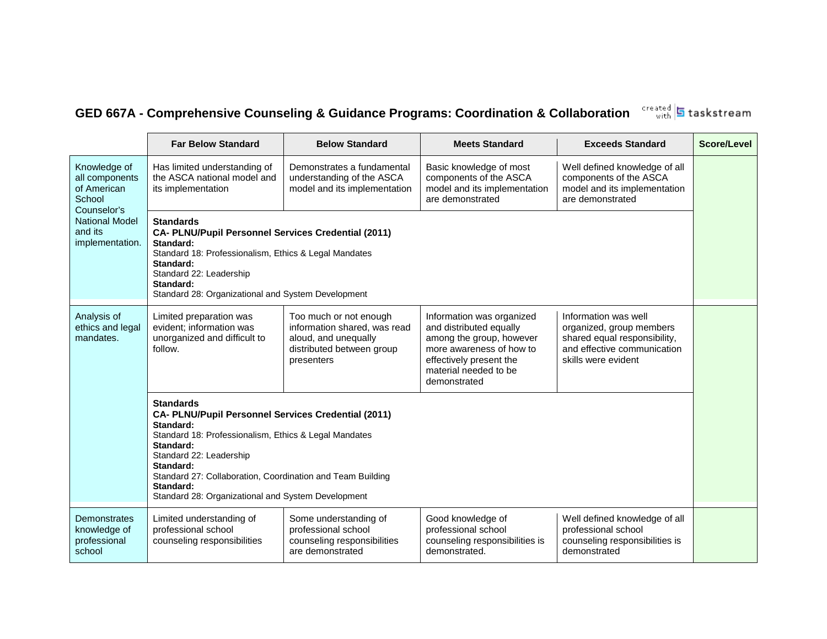## **GED 667A - Comprehensive Counseling & Guidance Programs: Coordination & Collaboration**

**Far Below Standard Below Standard Meets Standard Exceeds Standard Score/Level** Knowledge of all components of American **School** Counselor's National Model and its implementation. Has limited understanding of the ASCA national model and its implementation Demonstrates a fundamental understanding of the ASCA model and its implementation Basic knowledge of most components of the ASCA model and its implementation are demonstrated Well defined knowledge of all components of the ASCA model and its implementation are demonstrated **Standards CA- PLNU/Pupil Personnel Services Credential (2011) Standard:** Standard 18: Professionalism, Ethics & Legal Mandates **Standard:** Standard 22: Leadership **Standard:** Standard 28: Organizational and System Development Analysis of ethics and legal mandates. Limited preparation was evident; information was unorganized and difficult to follow. Too much or not enough information shared, was read aloud, and unequally distributed between group presenters Information was organized and distributed equally among the group, however more awareness of how to effectively present the material needed to be demonstrated Information was well organized, group members shared equal responsibility, and effective communication skills were evident **Standards CA- PLNU/Pupil Personnel Services Credential (2011) Standard:** Standard 18: Professionalism, Ethics & Legal Mandates **Standard:** Standard 22: Leadership **Standard:** Standard 27: Collaboration, Coordination and Team Building **Standard:** Standard 28: Organizational and System Development **Demonstrates** knowledge of professional school Limited understanding of professional school counseling responsibilities Some understanding of professional school counseling responsibilities are demonstrated Good knowledge of professional school counseling responsibilities is demonstrated. Well defined knowledge of all professional school counseling responsibilities is demonstrated

created 5 taskstream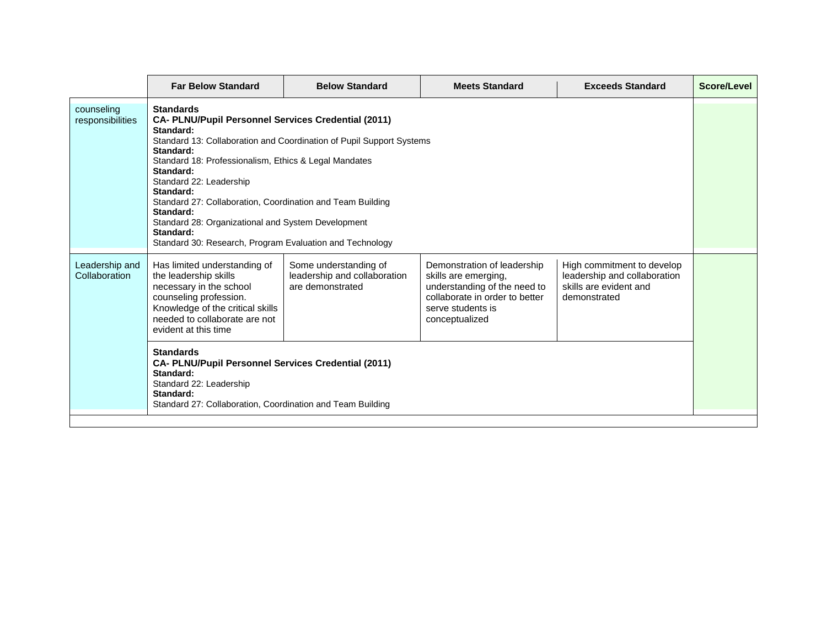|                                 | <b>Far Below Standard</b>                                                                                                                                                                                                                                                                                                                                                                                                                                                                                | <b>Below Standard</b>                                                     | <b>Meets Standard</b>                                                                                                                                        | <b>Exceeds Standard</b>                                                                              | Score/Level |
|---------------------------------|----------------------------------------------------------------------------------------------------------------------------------------------------------------------------------------------------------------------------------------------------------------------------------------------------------------------------------------------------------------------------------------------------------------------------------------------------------------------------------------------------------|---------------------------------------------------------------------------|--------------------------------------------------------------------------------------------------------------------------------------------------------------|------------------------------------------------------------------------------------------------------|-------------|
| counseling<br>responsibilities  | <b>Standards</b><br><b>CA- PLNU/Pupil Personnel Services Credential (2011)</b><br>Standard:<br>Standard 13: Collaboration and Coordination of Pupil Support Systems<br>Standard:<br>Standard 18: Professionalism, Ethics & Legal Mandates<br>Standard:<br>Standard 22: Leadership<br>Standard:<br>Standard 27: Collaboration, Coordination and Team Building<br>Standard:<br>Standard 28: Organizational and System Development<br>Standard:<br>Standard 30: Research, Program Evaluation and Technology |                                                                           |                                                                                                                                                              |                                                                                                      |             |
| Leadership and<br>Collaboration | Has limited understanding of<br>the leadership skills<br>necessary in the school<br>counseling profession.<br>Knowledge of the critical skills<br>needed to collaborate are not<br>evident at this time<br><b>Standards</b><br>CA- PLNU/Pupil Personnel Services Credential (2011)<br>Standard:                                                                                                                                                                                                          | Some understanding of<br>leadership and collaboration<br>are demonstrated | Demonstration of leadership<br>skills are emerging.<br>understanding of the need to<br>collaborate in order to better<br>serve students is<br>conceptualized | High commitment to develop<br>leadership and collaboration<br>skills are evident and<br>demonstrated |             |
|                                 | Standard 22: Leadership<br>Standard:<br>Standard 27: Collaboration, Coordination and Team Building                                                                                                                                                                                                                                                                                                                                                                                                       |                                                                           |                                                                                                                                                              |                                                                                                      |             |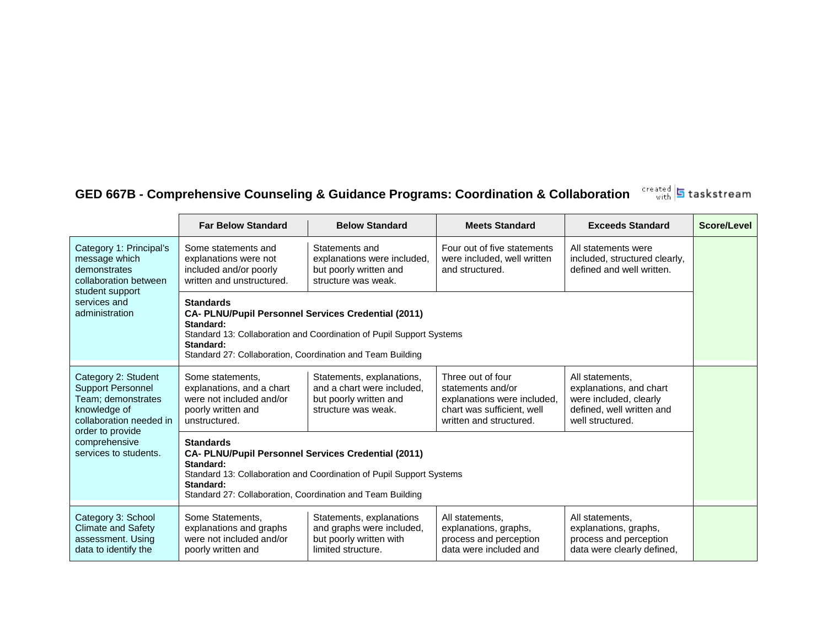#### created<br>with **GED 667B - Comprehensive Counseling & Guidance Programs: Coordination & Collaboration**

**Far Below Standard**  Below Standard **Meets Standard Below Standard Score/Level** Category 1: Principal's message which demonstrates collaboration between student support services and administration Some statements and explanations were not included and/or poorly written and unstructured. Statements and explanations were included, but poorly written and structure was weak. Four out of five statements were included, well written and structured. All statements were included, structured clearly, defined and well written. **Standards CA- PLNU/Pupil Personnel Services Credential (2011) Standard:** Standard 13: Collaboration and Coordination of Pupil Support Systems **Standard:** Standard 27: Collaboration, Coordination and Team Building Category 2: Student Support Personnel Team; demonstrates knowledge of collaboration needed in order to provide comprehensive services to students. Some statements, explanations, and a chart were not included and/or poorly written and unstructured. Statements, explanations, and a chart were included, but poorly written and structure was weak. Three out of four statements and/or explanations were included, chart was sufficient, well written and structured. All statements, explanations, and chart were included, clearly defined, well written and well structured. **Standards CA- PLNU/Pupil Personnel Services Credential (2011) Standard:** Standard 13: Collaboration and Coordination of Pupil Support Systems **Standard:** Standard 27: Collaboration, Coordination and Team Building Category 3: School Climate and Safety assessment. Using data to identify the Some Statements, explanations and graphs were not included and/or poorly written and Statements, explanations and graphs were included, but poorly written with limited structure. All statements, explanations, graphs, process and perception data were included and All statements, explanations, graphs, process and perception data were clearly defined,

**h** taskstream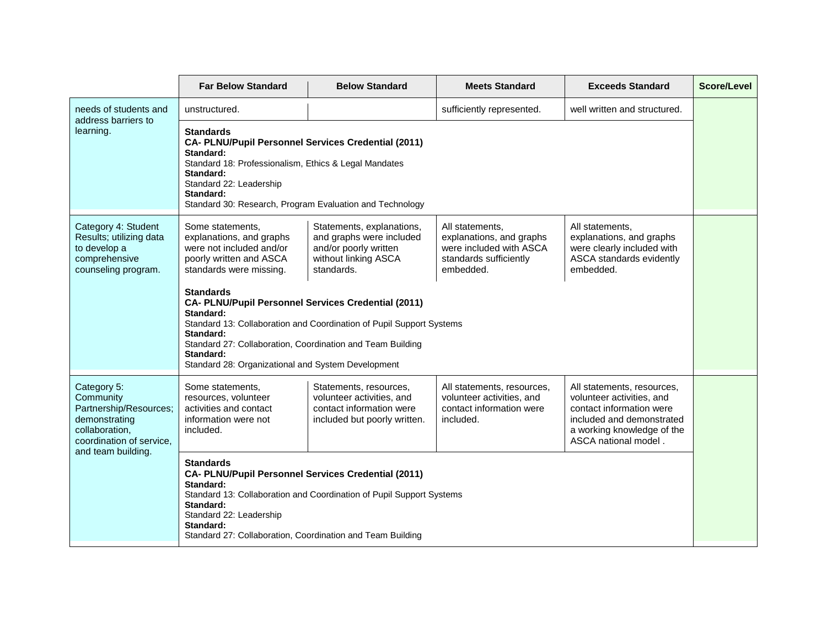|                                                                                                                                         | <b>Far Below Standard</b>                                                                                                                                                                                                                                                                                  | <b>Below Standard</b>                                                                                                | <b>Meets Standard</b>                                                                                         | <b>Exceeds Standard</b>                                                                                                                                                | Score/Level |  |
|-----------------------------------------------------------------------------------------------------------------------------------------|------------------------------------------------------------------------------------------------------------------------------------------------------------------------------------------------------------------------------------------------------------------------------------------------------------|----------------------------------------------------------------------------------------------------------------------|---------------------------------------------------------------------------------------------------------------|------------------------------------------------------------------------------------------------------------------------------------------------------------------------|-------------|--|
| needs of students and<br>address barriers to                                                                                            | unstructured.                                                                                                                                                                                                                                                                                              |                                                                                                                      | sufficiently represented.                                                                                     | well written and structured.                                                                                                                                           |             |  |
| learning.                                                                                                                               | <b>Standards</b><br>CA- PLNU/Pupil Personnel Services Credential (2011)<br>Standard:<br>Standard 18: Professionalism, Ethics & Legal Mandates<br>Standard:<br>Standard 22: Leadership<br>Standard:<br>Standard 30: Research, Program Evaluation and Technology                                             |                                                                                                                      |                                                                                                               |                                                                                                                                                                        |             |  |
| Category 4: Student<br>Results; utilizing data<br>to develop a<br>comprehensive<br>counseling program.                                  | Some statements,<br>explanations, and graphs<br>were not included and/or<br>poorly written and ASCA<br>standards were missing.                                                                                                                                                                             | Statements, explanations,<br>and graphs were included<br>and/or poorly written<br>without linking ASCA<br>standards. | All statements.<br>explanations, and graphs<br>were included with ASCA<br>standards sufficiently<br>embedded. | All statements,<br>explanations, and graphs<br>were clearly included with<br>ASCA standards evidently<br>embedded.                                                     |             |  |
|                                                                                                                                         | <b>Standards</b><br>CA- PLNU/Pupil Personnel Services Credential (2011)<br>Standard:<br>Standard 13: Collaboration and Coordination of Pupil Support Systems<br>Standard:<br>Standard 27: Collaboration, Coordination and Team Building<br>Standard:<br>Standard 28: Organizational and System Development |                                                                                                                      |                                                                                                               |                                                                                                                                                                        |             |  |
| Category 5:<br>Community<br>Partnership/Resources;<br>demonstrating<br>collaboration,<br>coordination of service,<br>and team building. | Some statements,<br>resources, volunteer<br>activities and contact<br>information were not<br>included.                                                                                                                                                                                                    | Statements, resources,<br>volunteer activities, and<br>contact information were<br>included but poorly written.      | All statements, resources,<br>volunteer activities, and<br>contact information were<br>included.              | All statements, resources,<br>volunteer activities, and<br>contact information were<br>included and demonstrated<br>a working knowledge of the<br>ASCA national model. |             |  |
|                                                                                                                                         | <b>Standards</b><br>CA- PLNU/Pupil Personnel Services Credential (2011)<br>Standard:<br>Standard 13: Collaboration and Coordination of Pupil Support Systems<br>Standard:<br>Standard 22: Leadership<br>Standard:<br>Standard 27: Collaboration, Coordination and Team Building                            |                                                                                                                      |                                                                                                               |                                                                                                                                                                        |             |  |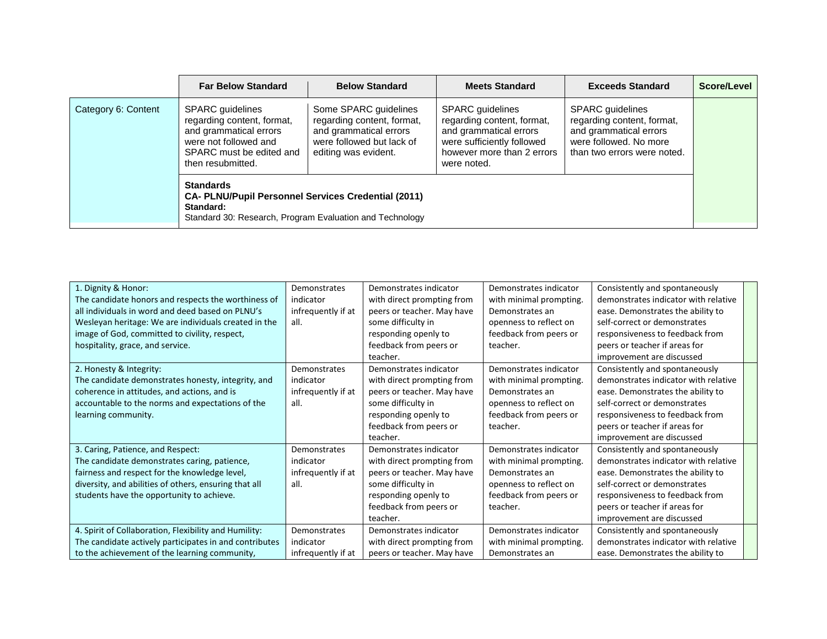|                     | <b>Far Below Standard</b>                                                                                                                                 | <b>Below Standard</b>                                                                                                              | <b>Meets Standard</b>                                                                                                                                      | <b>Exceeds Standard</b>                                                                                                                  | Score/Level |
|---------------------|-----------------------------------------------------------------------------------------------------------------------------------------------------------|------------------------------------------------------------------------------------------------------------------------------------|------------------------------------------------------------------------------------------------------------------------------------------------------------|------------------------------------------------------------------------------------------------------------------------------------------|-------------|
| Category 6: Content | <b>SPARC</b> guidelines<br>regarding content, format,<br>and grammatical errors<br>were not followed and<br>SPARC must be edited and<br>then resubmitted. | Some SPARC guidelines<br>regarding content, format,<br>and grammatical errors<br>were followed but lack of<br>editing was evident. | <b>SPARC</b> guidelines<br>regarding content, format,<br>and grammatical errors<br>were sufficiently followed<br>however more than 2 errors<br>were noted. | <b>SPARC</b> guidelines<br>regarding content, format,<br>and grammatical errors<br>were followed. No more<br>than two errors were noted. |             |
|                     | <b>Standards</b><br><b>CA- PLNU/Pupil Personnel Services Credential (2011)</b><br>Standard:<br>Standard 30: Research, Program Evaluation and Technology   |                                                                                                                                    |                                                                                                                                                            |                                                                                                                                          |             |

| 1. Dignity & Honor:<br>The candidate honors and respects the worthiness of<br>all individuals in word and deed based on PLNU's<br>Wesleyan heritage: We are individuals created in the<br>image of God, committed to civility, respect,<br>hospitality, grace, and service. | <b>Demonstrates</b><br>indicator<br>infrequently if at<br>all. | Demonstrates indicator<br>with direct prompting from<br>peers or teacher. May have<br>some difficulty in<br>responding openly to<br>feedback from peers or<br>teacher. | Demonstrates indicator<br>with minimal prompting.<br>Demonstrates an<br>openness to reflect on<br>feedback from peers or<br>teacher. | Consistently and spontaneously<br>demonstrates indicator with relative<br>ease. Demonstrates the ability to<br>self-correct or demonstrates<br>responsiveness to feedback from<br>peers or teacher if areas for<br>improvement are discussed |  |
|-----------------------------------------------------------------------------------------------------------------------------------------------------------------------------------------------------------------------------------------------------------------------------|----------------------------------------------------------------|------------------------------------------------------------------------------------------------------------------------------------------------------------------------|--------------------------------------------------------------------------------------------------------------------------------------|----------------------------------------------------------------------------------------------------------------------------------------------------------------------------------------------------------------------------------------------|--|
| 2. Honesty & Integrity:<br>The candidate demonstrates honesty, integrity, and<br>coherence in attitudes, and actions, and is<br>accountable to the norms and expectations of the<br>learning community.                                                                     | Demonstrates<br>indicator<br>infrequently if at<br>all.        | Demonstrates indicator<br>with direct prompting from<br>peers or teacher. May have<br>some difficulty in<br>responding openly to<br>feedback from peers or<br>teacher. | Demonstrates indicator<br>with minimal prompting.<br>Demonstrates an<br>openness to reflect on<br>feedback from peers or<br>teacher. | Consistently and spontaneously<br>demonstrates indicator with relative<br>ease. Demonstrates the ability to<br>self-correct or demonstrates<br>responsiveness to feedback from<br>peers or teacher if areas for<br>improvement are discussed |  |
| 3. Caring, Patience, and Respect:<br>The candidate demonstrates caring, patience,<br>fairness and respect for the knowledge level,<br>diversity, and abilities of others, ensuring that all<br>students have the opportunity to achieve.                                    | Demonstrates<br>indicator<br>infrequently if at<br>all.        | Demonstrates indicator<br>with direct prompting from<br>peers or teacher. May have<br>some difficulty in<br>responding openly to<br>feedback from peers or<br>teacher. | Demonstrates indicator<br>with minimal prompting.<br>Demonstrates an<br>openness to reflect on<br>feedback from peers or<br>teacher. | Consistently and spontaneously<br>demonstrates indicator with relative<br>ease. Demonstrates the ability to<br>self-correct or demonstrates<br>responsiveness to feedback from<br>peers or teacher if areas for<br>improvement are discussed |  |
| 4. Spirit of Collaboration, Flexibility and Humility:<br>The candidate actively participates in and contributes<br>to the achievement of the learning community,                                                                                                            | Demonstrates<br>indicator<br>infrequently if at                | Demonstrates indicator<br>with direct prompting from<br>peers or teacher. May have                                                                                     | Demonstrates indicator<br>with minimal prompting.<br>Demonstrates an                                                                 | Consistently and spontaneously<br>demonstrates indicator with relative<br>ease. Demonstrates the ability to                                                                                                                                  |  |